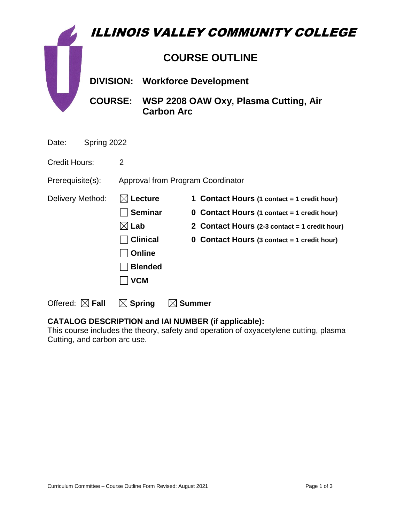| <b>ILLINOIS VALLEY COMMUNITY COLLEGE</b> |                       |                                   |                                                                    |  |                                                    |
|------------------------------------------|-----------------------|-----------------------------------|--------------------------------------------------------------------|--|----------------------------------------------------|
|                                          | <b>COURSE OUTLINE</b> |                                   |                                                                    |  |                                                    |
|                                          | <b>DIVISION:</b>      |                                   | <b>Workforce Development</b>                                       |  |                                                    |
|                                          |                       |                                   | COURSE: WSP 2208 OAW Oxy, Plasma Cutting, Air<br><b>Carbon Arc</b> |  |                                                    |
| Spring 2022<br>Date:                     |                       |                                   |                                                                    |  |                                                    |
| <b>Credit Hours:</b>                     |                       | $\overline{2}$                    |                                                                    |  |                                                    |
| Prerequisite(s):                         |                       | Approval from Program Coordinator |                                                                    |  |                                                    |
| Delivery Method:                         |                       | <b>Lecture</b>                    |                                                                    |  | 1 Contact Hours (1 contact = 1 credit hour)        |
|                                          |                       | <b>Seminar</b>                    |                                                                    |  | <b>0 Contact Hours (1 contact = 1 credit hour)</b> |
|                                          |                       | $\boxtimes$ Lab                   |                                                                    |  | 2 Contact Hours (2-3 contact = 1 credit hour)      |
|                                          |                       | <b>Clinical</b>                   |                                                                    |  | 0 Contact Hours (3 contact = 1 credit hour)        |

**CATALOG DESCRIPTION and IAI NUMBER (if applicable):** This course includes the theory, safety and operation of oxyacetylene cutting, plasma Cutting, and carbon arc use.

**Online** 

 **VCM**

Offered:  $\boxtimes$  Fall  $\Box$  Spring  $\Box$  Summer

**Blended**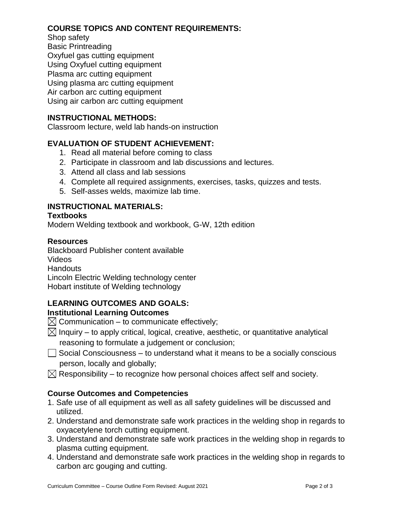# **COURSE TOPICS AND CONTENT REQUIREMENTS:**

Shop safety Basic Printreading Oxyfuel gas cutting equipment Using Oxyfuel cutting equipment Plasma arc cutting equipment Using plasma arc cutting equipment Air carbon arc cutting equipment Using air carbon arc cutting equipment

## **INSTRUCTIONAL METHODS:**

Classroom lecture, weld lab hands-on instruction

## **EVALUATION OF STUDENT ACHIEVEMENT:**

- 1. Read all material before coming to class
- 2. Participate in classroom and lab discussions and lectures.
- 3. Attend all class and lab sessions
- 4. Complete all required assignments, exercises, tasks, quizzes and tests.
- 5. Self-asses welds, maximize lab time.

# **INSTRUCTIONAL MATERIALS:**

#### **Textbooks**

Modern Welding textbook and workbook, G-W, 12th edition

#### **Resources**

Blackboard Publisher content available Videos **Handouts** Lincoln Electric Welding technology center Hobart institute of Welding technology

# **LEARNING OUTCOMES AND GOALS:**

## **Institutional Learning Outcomes**

- $\boxtimes$  Communication to communicate effectively;
- $\boxtimes$  Inquiry to apply critical, logical, creative, aesthetic, or quantitative analytical reasoning to formulate a judgement or conclusion;
- $\Box$  Social Consciousness to understand what it means to be a socially conscious person, locally and globally;
- $\boxtimes$  Responsibility to recognize how personal choices affect self and society.

## **Course Outcomes and Competencies**

- 1. Safe use of all equipment as well as all safety guidelines will be discussed and utilized.
- 2. Understand and demonstrate safe work practices in the welding shop in regards to oxyacetylene torch cutting equipment.
- 3. Understand and demonstrate safe work practices in the welding shop in regards to plasma cutting equipment.
- 4. Understand and demonstrate safe work practices in the welding shop in regards to carbon arc gouging and cutting.